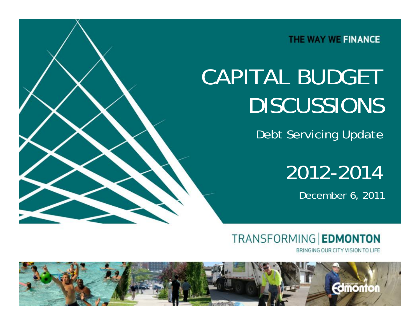THE WAY WE FINANCE

# CAPITAL BUDGET DISCUSSIONS

Debt Servicing Update

2012-2014

December 6, 2011

**TRANSFORMING EDMONTON** 

BRINGING OUR CITY VISION TO LIFE

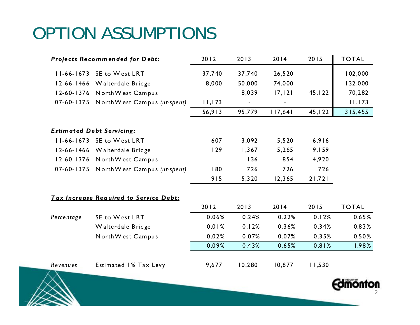#### OPTION ASSUMPTIONS

|                                        | Projects Recommended for Debt:         | 2012           | 2013                     | 2014    | 2015    | <b>TOTAL</b> |
|----------------------------------------|----------------------------------------|----------------|--------------------------|---------|---------|--------------|
|                                        | 11-66-1673 SE to West LRT              | 37,740         | 37,740                   | 26,520  |         | 102,000      |
|                                        | 12-66-1466 Walterdale Bridge           | 8,000          | 50,000                   | 74,000  |         | 132,000      |
|                                        | 12-60-1376 North West Campus           |                | 8,039                    | 17, 121 | 45, 122 | 70,282       |
|                                        | 07-60-1375 North West Campus (unspent) | 11, 173        | $\overline{\phantom{0}}$ | ۰       |         | 11, 173      |
|                                        |                                        | 56,913         | 95,779                   | 117,641 | 45,122  | 315,455      |
|                                        | <b>Estim ated Debt Servicing:</b>      |                |                          |         |         |              |
|                                        | 11-66-1673 SE to West LRT              | 607            | 3,092                    | 5,520   | 6,916   |              |
|                                        | 12-66-1466 Walterdale Bridge           | 129            | 1,367                    | 5,265   | 9,159   |              |
|                                        | 12-60-1376 North West Campus           | $\blacksquare$ | 136                      | 854     | 4,920   |              |
|                                        | 07-60-1375 North West Campus (unspent) | 180            | 726                      | 726     | 726     |              |
|                                        |                                        | 915            | 5,320                    | 12,365  | 21,721  |              |
| Tax Increase Required to Service Debt: |                                        |                |                          |         |         |              |
|                                        |                                        | 2012           | 2013                     | 2014    | 2015    | <b>TOTAL</b> |
| Percentage                             | SE to West LRT                         | 0.06%          | 0.24%                    | 0.22%   | 0.12%   | 0.65%        |
|                                        | Walterdale Bridge                      | 0.01%          | 0.12%                    | 0.36%   | 0.34%   | 0.83%        |
|                                        | North West Campus                      | 0.02%          | 0.07%                    | 0.07%   | 0.35%   | 0.50%        |
|                                        |                                        | 0.09%          | 0.43%                    | 0.65%   | 0.81%   | 1.98%        |
| Revenues                               | Estimated 1% Tax Levy                  | 9,677          | 10,280                   | 10,877  | 11,530  |              |

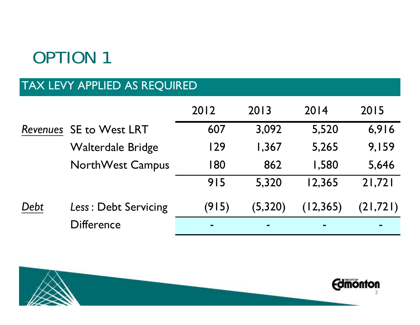## OPTION 1

#### TAX LEVY APPLIED AS REQUIRED

|      |                                | 2012           | 2013           | 2014      | 2015      |
|------|--------------------------------|----------------|----------------|-----------|-----------|
|      | <b>Revenues SE to West LRT</b> | 607            | 3,092          | 5,520     | 6,916     |
|      | <b>Walterdale Bridge</b>       | 129            | 1,367          | 5,265     | 9,159     |
|      | <b>NorthWest Campus</b>        | 180            | 862            | 1,580     | 5,646     |
|      |                                | 915            | 5,320          | 12,365    | 21,721    |
| Debt | Less: Debt Servicing           | (915)          | (5, 320)       | (12, 365) | (21, 721) |
|      | <b>Difference</b>              | $\blacksquare$ | $\blacksquare$ |           |           |

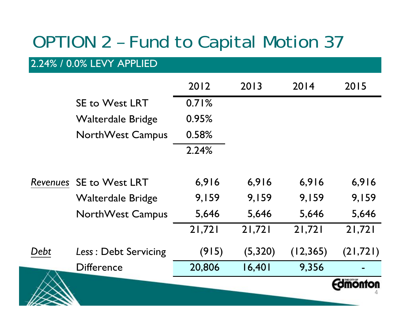### OPTION 2 – Fund to Capital Motion 37

#### 2.24% / 0.0% LEVY APPLIED

|      | <b>Difference</b>        | 20,806 | 16,401  | 9,356     |           |
|------|--------------------------|--------|---------|-----------|-----------|
| Debt | Less: Debt Servicing     | (915)  | (5,320) | (12, 365) | (21, 721) |
|      |                          | 21,721 | 21,721  | 21,721    | 21,721    |
|      | <b>NorthWest Campus</b>  | 5,646  | 5,646   | 5,646     | 5,646     |
|      | Walterdale Bridge        | 9,159  | 9,159   | 9,159     | 9,159     |
|      | Revenues SE to West LRT  | 6,916  | 6,916   | 6,916     | 6,916     |
|      |                          | 2.24%  |         |           |           |
|      | <b>NorthWest Campus</b>  | 0.58%  |         |           |           |
|      | <b>Walterdale Bridge</b> | 0.95%  |         |           |           |
|      | <b>SE to West LRT</b>    | 0.71%  |         |           |           |
|      |                          | 2012   | 2013    | 2014      | 2015      |
|      |                          |        |         |           |           |